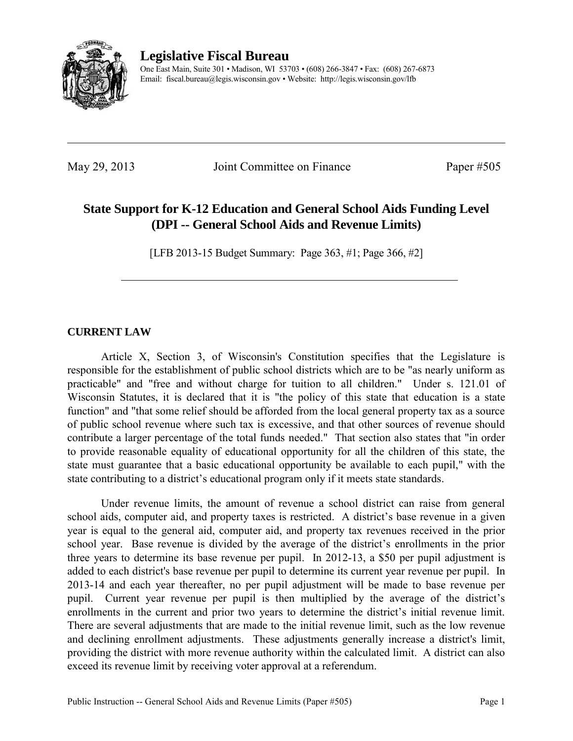

**Legislative Fiscal Bureau** 

One East Main, Suite 301 • Madison, WI 53703 • (608) 266-3847 • Fax: (608) 267-6873 Email: fiscal.bureau@legis.wisconsin.gov • Website:<http://legis.wisconsin.gov/lfb>

May 29, 2013 Joint Committee on Finance Paper #505

# **State Support for K-12 Education and General School Aids Funding Level (DPI -- General School Aids and Revenue Limits)**

[LFB 2013-15 Budget Summary: Page 363, #1; Page 366, #2]

### **CURRENT LAW**

 Article X, Section 3, of Wisconsin's Constitution specifies that the Legislature is responsible for the establishment of public school districts which are to be "as nearly uniform as practicable" and "free and without charge for tuition to all children." Under s. 121.01 of Wisconsin Statutes, it is declared that it is "the policy of this state that education is a state function" and "that some relief should be afforded from the local general property tax as a source of public school revenue where such tax is excessive, and that other sources of revenue should contribute a larger percentage of the total funds needed." That section also states that "in order to provide reasonable equality of educational opportunity for all the children of this state, the state must guarantee that a basic educational opportunity be available to each pupil," with the state contributing to a district's educational program only if it meets state standards.

 Under revenue limits, the amount of revenue a school district can raise from general school aids, computer aid, and property taxes is restricted. A district's base revenue in a given year is equal to the general aid, computer aid, and property tax revenues received in the prior school year. Base revenue is divided by the average of the district's enrollments in the prior three years to determine its base revenue per pupil. In 2012-13, a \$50 per pupil adjustment is added to each district's base revenue per pupil to determine its current year revenue per pupil. In 2013-14 and each year thereafter, no per pupil adjustment will be made to base revenue per pupil. Current year revenue per pupil is then multiplied by the average of the district's enrollments in the current and prior two years to determine the district's initial revenue limit. There are several adjustments that are made to the initial revenue limit, such as the low revenue and declining enrollment adjustments. These adjustments generally increase a district's limit, providing the district with more revenue authority within the calculated limit. A district can also exceed its revenue limit by receiving voter approval at a referendum.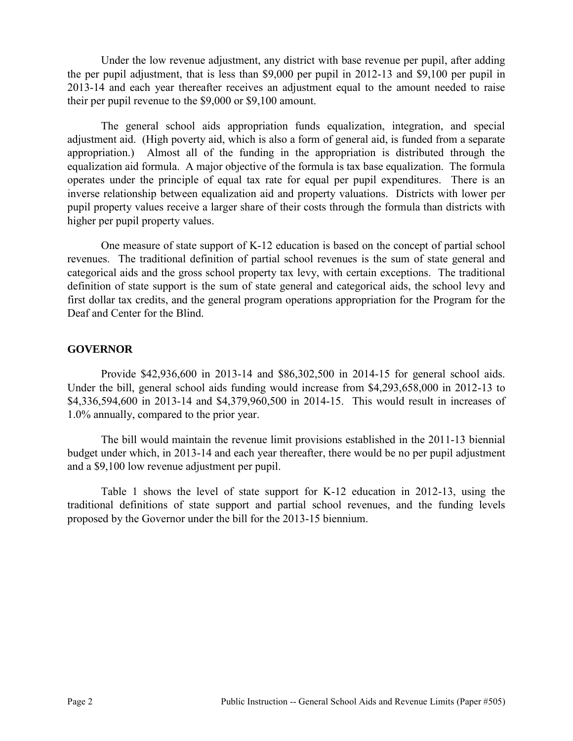Under the low revenue adjustment, any district with base revenue per pupil, after adding the per pupil adjustment, that is less than \$9,000 per pupil in 2012-13 and \$9,100 per pupil in 2013-14 and each year thereafter receives an adjustment equal to the amount needed to raise their per pupil revenue to the \$9,000 or \$9,100 amount.

The general school aids appropriation funds equalization, integration, and special adjustment aid. (High poverty aid, which is also a form of general aid, is funded from a separate appropriation.) Almost all of the funding in the appropriation is distributed through the equalization aid formula. A major objective of the formula is tax base equalization. The formula operates under the principle of equal tax rate for equal per pupil expenditures. There is an inverse relationship between equalization aid and property valuations. Districts with lower per pupil property values receive a larger share of their costs through the formula than districts with higher per pupil property values.

One measure of state support of K-12 education is based on the concept of partial school revenues. The traditional definition of partial school revenues is the sum of state general and categorical aids and the gross school property tax levy, with certain exceptions. The traditional definition of state support is the sum of state general and categorical aids, the school levy and first dollar tax credits, and the general program operations appropriation for the Program for the Deaf and Center for the Blind.

### **GOVERNOR**

 Provide \$42,936,600 in 2013-14 and \$86,302,500 in 2014-15 for general school aids. Under the bill, general school aids funding would increase from \$4,293,658,000 in 2012-13 to \$4,336,594,600 in 2013-14 and \$4,379,960,500 in 2014-15. This would result in increases of 1.0% annually, compared to the prior year.

 The bill would maintain the revenue limit provisions established in the 2011-13 biennial budget under which, in 2013-14 and each year thereafter, there would be no per pupil adjustment and a \$9,100 low revenue adjustment per pupil.

Table 1 shows the level of state support for K-12 education in 2012-13, using the traditional definitions of state support and partial school revenues, and the funding levels proposed by the Governor under the bill for the 2013-15 biennium.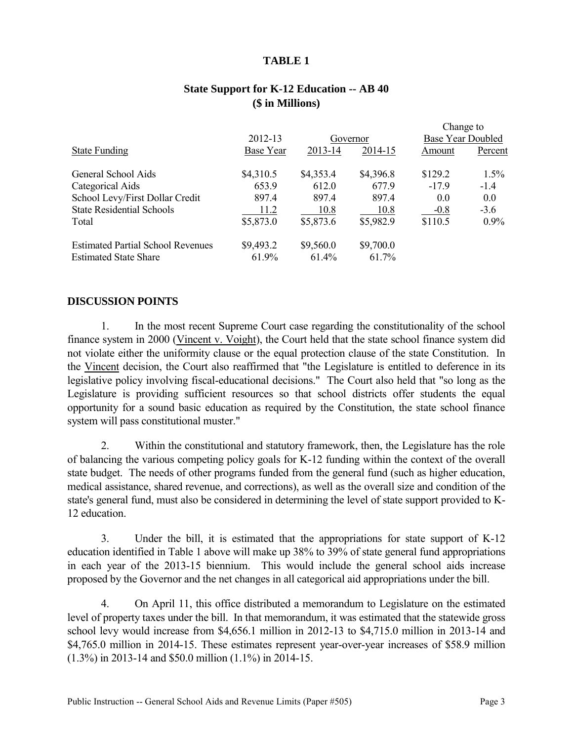#### **TABLE 1**

### **State Support for K-12 Education -- AB 40 (\$ in Millions)**

|                                          |                  |           |           | Change to                |         |
|------------------------------------------|------------------|-----------|-----------|--------------------------|---------|
|                                          | 2012-13          |           | Governor  | <b>Base Year Doubled</b> |         |
| <b>State Funding</b>                     | <b>Base Year</b> | 2013-14   | 2014-15   | Amount                   | Percent |
| General School Aids                      | \$4,310.5        | \$4,353.4 | \$4,396.8 | \$129.2                  | 1.5%    |
| Categorical Aids                         | 653.9            | 612.0     | 677.9     | $-17.9$                  | $-1.4$  |
| School Levy/First Dollar Credit          | 897.4            | 897.4     | 897.4     | 0.0                      | 0.0     |
| <b>State Residential Schools</b>         | 11.2             | 10.8      | 10.8      | $-0.8$                   | $-3.6$  |
| Total                                    | \$5,873.0        | \$5,873.6 | \$5,982.9 | \$110.5                  | $0.9\%$ |
| <b>Estimated Partial School Revenues</b> | \$9,493.2        | \$9,560.0 | \$9,700.0 |                          |         |
| <b>Estimated State Share</b>             | 61.9%            | $61.4\%$  | 61.7%     |                          |         |

#### **DISCUSSION POINTS**

1. In the most recent Supreme Court case regarding the constitutionality of the school finance system in 2000 (Vincent v. Voight), the Court held that the state school finance system did not violate either the uniformity clause or the equal protection clause of the state Constitution. In the Vincent decision, the Court also reaffirmed that "the Legislature is entitled to deference in its legislative policy involving fiscal-educational decisions." The Court also held that "so long as the Legislature is providing sufficient resources so that school districts offer students the equal opportunity for a sound basic education as required by the Constitution, the state school finance system will pass constitutional muster."

2. Within the constitutional and statutory framework, then, the Legislature has the role of balancing the various competing policy goals for K-12 funding within the context of the overall state budget. The needs of other programs funded from the general fund (such as higher education, medical assistance, shared revenue, and corrections), as well as the overall size and condition of the state's general fund, must also be considered in determining the level of state support provided to K-12 education.

3. Under the bill, it is estimated that the appropriations for state support of K-12 education identified in Table 1 above will make up 38% to 39% of state general fund appropriations in each year of the 2013-15 biennium. This would include the general school aids increase proposed by the Governor and the net changes in all categorical aid appropriations under the bill.

4. On April 11, this office distributed a memorandum to Legislature on the estimated level of property taxes under the bill. In that memorandum, it was estimated that the statewide gross school levy would increase from \$4,656.1 million in 2012-13 to \$4,715.0 million in 2013-14 and \$4,765.0 million in 2014-15. These estimates represent year-over-year increases of \$58.9 million (1.3%) in 2013-14 and \$50.0 million (1.1%) in 2014-15.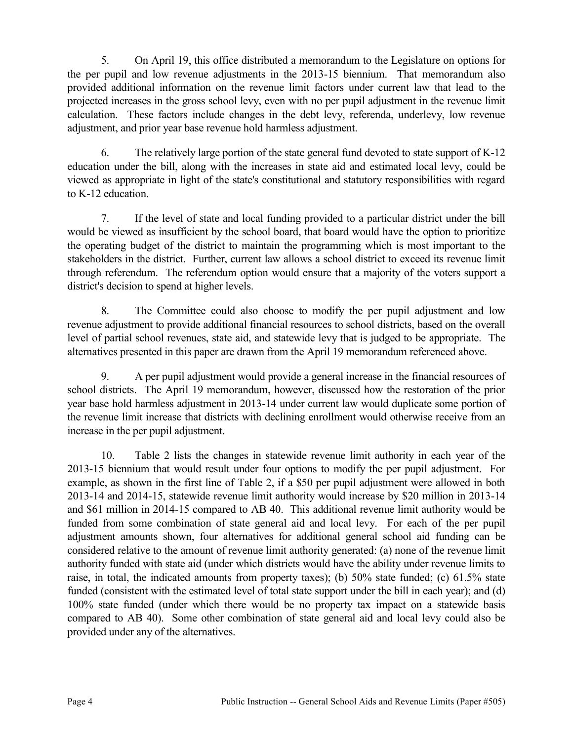5. On April 19, this office distributed a memorandum to the Legislature on options for the per pupil and low revenue adjustments in the 2013-15 biennium. That memorandum also provided additional information on the revenue limit factors under current law that lead to the projected increases in the gross school levy, even with no per pupil adjustment in the revenue limit calculation. These factors include changes in the debt levy, referenda, underlevy, low revenue adjustment, and prior year base revenue hold harmless adjustment.

6. The relatively large portion of the state general fund devoted to state support of K-12 education under the bill, along with the increases in state aid and estimated local levy, could be viewed as appropriate in light of the state's constitutional and statutory responsibilities with regard to K-12 education.

7. If the level of state and local funding provided to a particular district under the bill would be viewed as insufficient by the school board, that board would have the option to prioritize the operating budget of the district to maintain the programming which is most important to the stakeholders in the district. Further, current law allows a school district to exceed its revenue limit through referendum. The referendum option would ensure that a majority of the voters support a district's decision to spend at higher levels.

8. The Committee could also choose to modify the per pupil adjustment and low revenue adjustment to provide additional financial resources to school districts, based on the overall level of partial school revenues, state aid, and statewide levy that is judged to be appropriate. The alternatives presented in this paper are drawn from the April 19 memorandum referenced above.

9. A per pupil adjustment would provide a general increase in the financial resources of school districts. The April 19 memorandum, however, discussed how the restoration of the prior year base hold harmless adjustment in 2013-14 under current law would duplicate some portion of the revenue limit increase that districts with declining enrollment would otherwise receive from an increase in the per pupil adjustment.

10. Table 2 lists the changes in statewide revenue limit authority in each year of the 2013-15 biennium that would result under four options to modify the per pupil adjustment. For example, as shown in the first line of Table 2, if a \$50 per pupil adjustment were allowed in both 2013-14 and 2014-15, statewide revenue limit authority would increase by \$20 million in 2013-14 and \$61 million in 2014-15 compared to AB 40. This additional revenue limit authority would be funded from some combination of state general aid and local levy. For each of the per pupil adjustment amounts shown, four alternatives for additional general school aid funding can be considered relative to the amount of revenue limit authority generated: (a) none of the revenue limit authority funded with state aid (under which districts would have the ability under revenue limits to raise, in total, the indicated amounts from property taxes); (b) 50% state funded; (c) 61.5% state funded (consistent with the estimated level of total state support under the bill in each year); and (d) 100% state funded (under which there would be no property tax impact on a statewide basis compared to AB 40). Some other combination of state general aid and local levy could also be provided under any of the alternatives.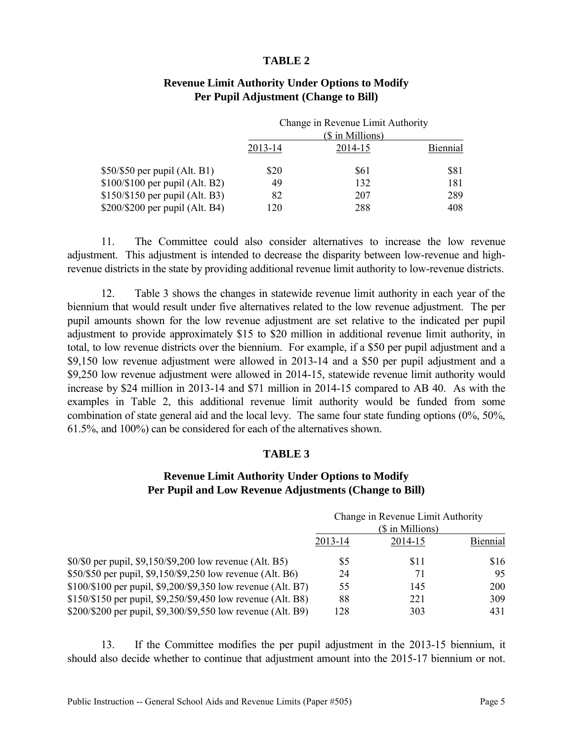#### **TABLE 2**

|                                  | Change in Revenue Limit Authority<br>(\$ in Millions) |            |          |
|----------------------------------|-------------------------------------------------------|------------|----------|
|                                  |                                                       |            |          |
|                                  | 2013-14                                               | 2014-15    | Biennial |
| $$50/\$50$ per pupil (Alt. B1)   | \$20                                                  | <b>S61</b> | \$81     |
| $$100/\$100$ per pupil (Alt. B2) | 49                                                    | 132        | 181      |
| \$150/\$150 per pupil (Alt. B3)  | 82                                                    | 207        | 289      |
| \$200/\$200 per pupil (Alt. B4)  | 120                                                   | 288        | 408      |

#### **Revenue Limit Authority Under Options to Modify Per Pupil Adjustment (Change to Bill)**

11. The Committee could also consider alternatives to increase the low revenue adjustment. This adjustment is intended to decrease the disparity between low-revenue and highrevenue districts in the state by providing additional revenue limit authority to low-revenue districts.

12. Table 3 shows the changes in statewide revenue limit authority in each year of the biennium that would result under five alternatives related to the low revenue adjustment. The per pupil amounts shown for the low revenue adjustment are set relative to the indicated per pupil adjustment to provide approximately \$15 to \$20 million in additional revenue limit authority, in total, to low revenue districts over the biennium. For example, if a \$50 per pupil adjustment and a \$9,150 low revenue adjustment were allowed in 2013-14 and a \$50 per pupil adjustment and a \$9,250 low revenue adjustment were allowed in 2014-15, statewide revenue limit authority would increase by \$24 million in 2013-14 and \$71 million in 2014-15 compared to AB 40. As with the examples in Table 2, this additional revenue limit authority would be funded from some combination of state general aid and the local levy. The same four state funding options (0%, 50%, 61.5%, and 100%) can be considered for each of the alternatives shown.

#### **TABLE 3**

#### **Revenue Limit Authority Under Options to Modify Per Pupil and Low Revenue Adjustments (Change to Bill)**

|                                                              | Change in Revenue Limit Authority |         |            |
|--------------------------------------------------------------|-----------------------------------|---------|------------|
|                                                              | (\$ in Millions)                  |         |            |
|                                                              | 2013-14                           | 2014-15 | Biennial   |
| \$0/\$0 per pupil, \$9,150/\$9,200 low revenue (Alt. B5)     | 85                                | \$11    | \$16       |
| \$50/\$50 per pupil, \$9,150/\$9,250 low revenue (Alt. B6)   | 24                                | 71      | 95         |
| \$100/\$100 per pupil, \$9,200/\$9,350 low revenue (Alt. B7) | 55                                | 145     | <b>200</b> |
| \$150/\$150 per pupil, \$9,250/\$9,450 low revenue (Alt. B8) | 88                                | 221     | 309        |
| \$200/\$200 per pupil, \$9,300/\$9,550 low revenue (Alt. B9) | 128                               | 303     | 431        |

13. If the Committee modifies the per pupil adjustment in the 2013-15 biennium, it should also decide whether to continue that adjustment amount into the 2015-17 biennium or not.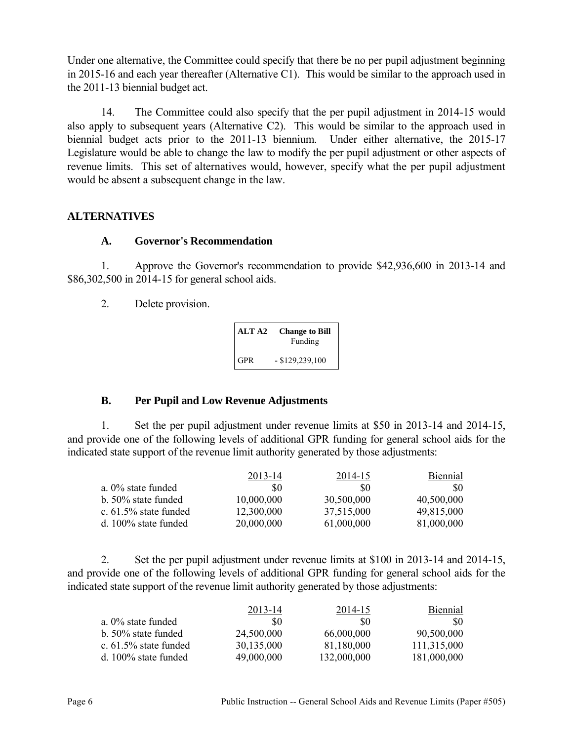Under one alternative, the Committee could specify that there be no per pupil adjustment beginning in 2015-16 and each year thereafter (Alternative C1). This would be similar to the approach used in the 2011-13 biennial budget act.

14. The Committee could also specify that the per pupil adjustment in 2014-15 would also apply to subsequent years (Alternative C2). This would be similar to the approach used in biennial budget acts prior to the 2011-13 biennium. Under either alternative, the 2015-17 Legislature would be able to change the law to modify the per pupil adjustment or other aspects of revenue limits. This set of alternatives would, however, specify what the per pupil adjustment would be absent a subsequent change in the law.

## **ALTERNATIVES**

### **A. Governor's Recommendation**

1. Approve the Governor's recommendation to provide \$42,936,600 in 2013-14 and \$86,302,500 in 2014-15 for general school aids.

2. Delete provision.

| ALT A <sub>2</sub> | <b>Change to Bill</b><br>Funding |
|--------------------|----------------------------------|
| <b>GPR</b>         | $-$ \$129,239,100                |

### **B. Per Pupil and Low Revenue Adjustments**

1. Set the per pupil adjustment under revenue limits at \$50 in 2013-14 and 2014-15, and provide one of the following levels of additional GPR funding for general school aids for the indicated state support of the revenue limit authority generated by those adjustments:

|                          | 2013-14    | 2014-15    | Biennial   |
|--------------------------|------------|------------|------------|
| a. $0\%$ state funded    | SO.        | 80         | 80         |
| b. 50% state funded      | 10,000,000 | 30,500,000 | 40,500,000 |
| c. $61.5\%$ state funded | 12,300,000 | 37,515,000 | 49,815,000 |
| d. 100% state funded     | 20,000,000 | 61,000,000 | 81,000,000 |

2. Set the per pupil adjustment under revenue limits at \$100 in 2013-14 and 2014-15, and provide one of the following levels of additional GPR funding for general school aids for the indicated state support of the revenue limit authority generated by those adjustments:

|                          | 2013-14    | 2014-15     | <b>Biennial</b> |
|--------------------------|------------|-------------|-----------------|
| a. $0\%$ state funded    | \$0        | \$0         | -80             |
| b. 50% state funded      | 24,500,000 | 66,000,000  | 90,500,000      |
| c. $61.5\%$ state funded | 30,135,000 | 81,180,000  | 111,315,000     |
| d. $100\%$ state funded  | 49,000,000 | 132,000,000 | 181,000,000     |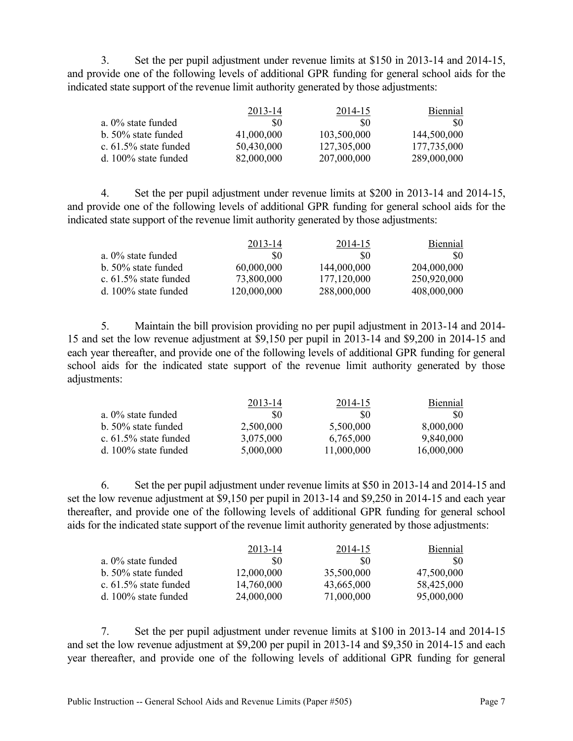3. Set the per pupil adjustment under revenue limits at \$150 in 2013-14 and 2014-15, and provide one of the following levels of additional GPR funding for general school aids for the indicated state support of the revenue limit authority generated by those adjustments:

| 2013-14    | 2014-15     | Biennial    |
|------------|-------------|-------------|
| \$0        | \$0         | -80         |
| 41,000,000 | 103,500,000 | 144,500,000 |
| 50,430,000 | 127,305,000 | 177,735,000 |
| 82,000,000 | 207,000,000 | 289,000,000 |
|            |             |             |

4. Set the per pupil adjustment under revenue limits at \$200 in 2013-14 and 2014-15, and provide one of the following levels of additional GPR funding for general school aids for the indicated state support of the revenue limit authority generated by those adjustments:

|                       | 2013-14     | 2014-15     | Biennial    |
|-----------------------|-------------|-------------|-------------|
| a. 0% state funded    | SO.         | 80          | SO.         |
| b. 50% state funded   | 60,000,000  | 144,000,000 | 204,000,000 |
| c. 61.5% state funded | 73,800,000  | 177,120,000 | 250,920,000 |
| d. 100% state funded  | 120,000,000 | 288,000,000 | 408,000,000 |
|                       |             |             |             |

5. Maintain the bill provision providing no per pupil adjustment in 2013-14 and 2014- 15 and set the low revenue adjustment at \$9,150 per pupil in 2013-14 and \$9,200 in 2014-15 and each year thereafter, and provide one of the following levels of additional GPR funding for general school aids for the indicated state support of the revenue limit authority generated by those adjustments:

|                          | 2013-14   | 2014-15    | Biennial   |
|--------------------------|-----------|------------|------------|
| a. $0\%$ state funded    | \$0       | 80         | SO.        |
| b. 50% state funded      | 2,500,000 | 5,500,000  | 8,000,000  |
| c. $61.5\%$ state funded | 3,075,000 | 6,765,000  | 9,840,000  |
| d. 100% state funded     | 5,000,000 | 11,000,000 | 16,000,000 |

6. Set the per pupil adjustment under revenue limits at \$50 in 2013-14 and 2014-15 and set the low revenue adjustment at \$9,150 per pupil in 2013-14 and \$9,250 in 2014-15 and each year thereafter, and provide one of the following levels of additional GPR funding for general school aids for the indicated state support of the revenue limit authority generated by those adjustments:

| 2013-14    | 2014-15    | <b>Biennial</b> |
|------------|------------|-----------------|
| 80         | SO.        | -80             |
| 12,000,000 | 35,500,000 | 47,500,000      |
| 14,760,000 | 43,665,000 | 58,425,000      |
| 24,000,000 | 71,000,000 | 95,000,000      |
|            |            |                 |

7. Set the per pupil adjustment under revenue limits at \$100 in 2013-14 and 2014-15 and set the low revenue adjustment at \$9,200 per pupil in 2013-14 and \$9,350 in 2014-15 and each year thereafter, and provide one of the following levels of additional GPR funding for general